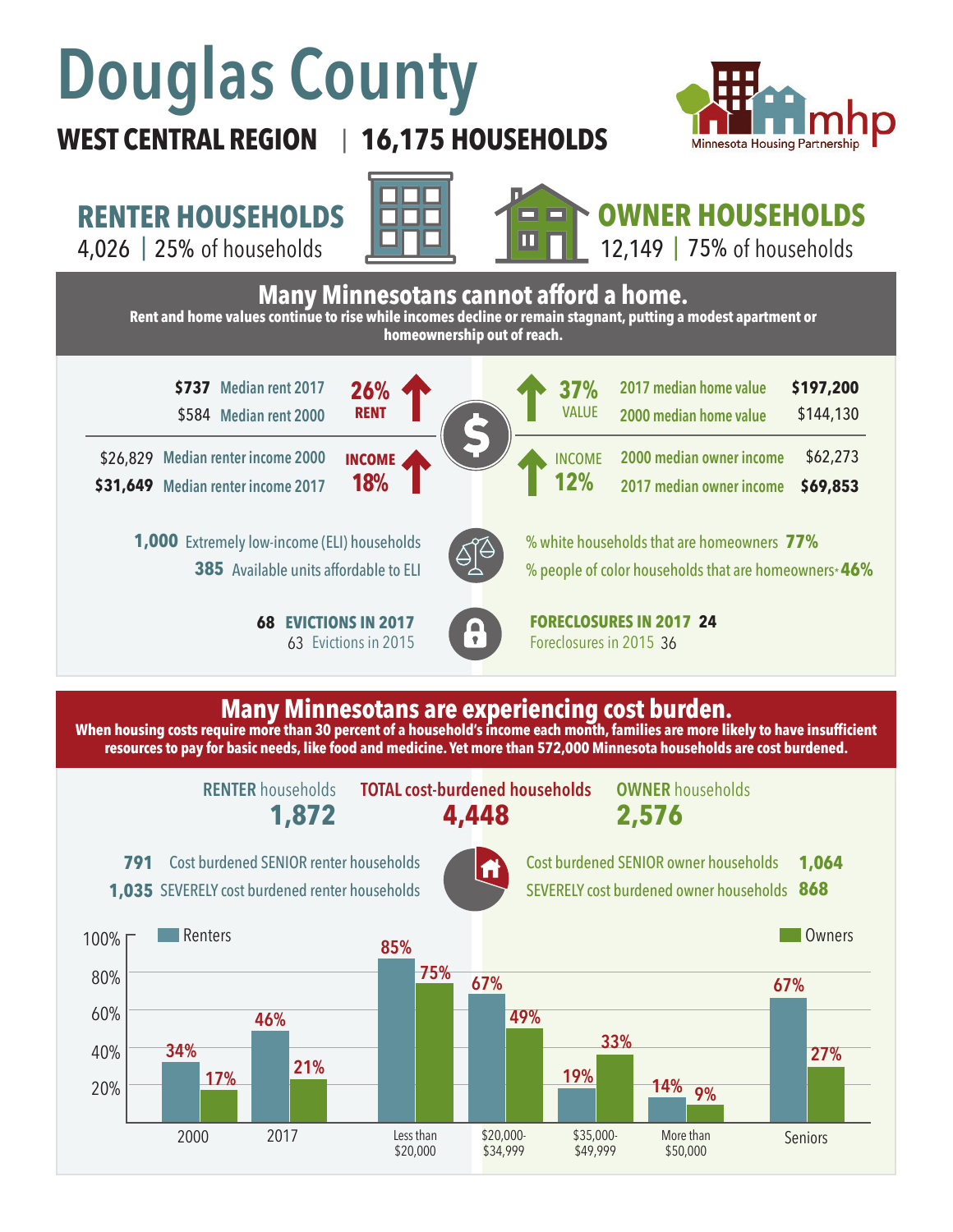# **Douglas County**

## **WEST CENTRAL REGION 16,175 HOUSEHOLDS**  |



**RENTER HOUSEHOLDS**

4,026 | of households 25% 75%





**OWNER HOUSEHOLDS**

12,149 |  $75%$  of households



### **Many Minnesotans are experiencing cost burden.**

**When housing costs require more than 30 percent of a household's income each month, families are more likely to have insufficient resources to pay for basic needs, like food and medicine. Yet more than 572,000 Minnesota households are cost burdened.**

**RENTER** households

**1,872 4,448 TOTAL cost-burdened households OWNER** households

**2,576**





Cost burdened SENIOR owner households

1,035 SEVERELY cost burdened renter households



SEVERELY cost burdened owner households **868 1,064**